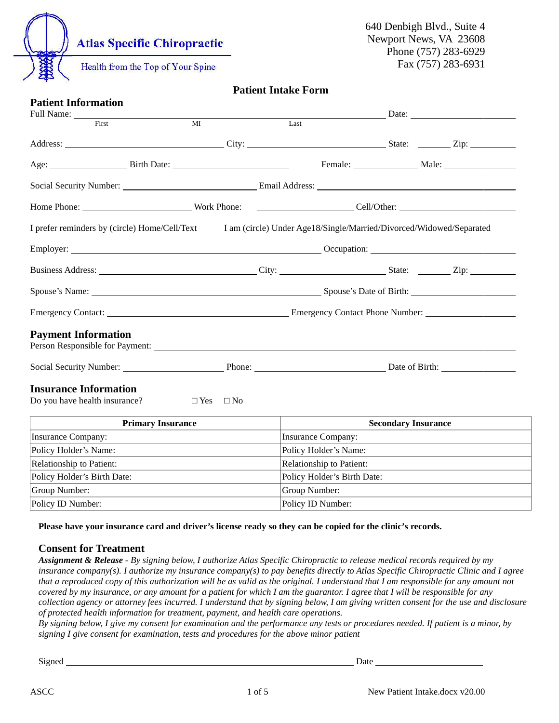

#### Patient Intake Form

| <b>Patient Information</b>                                    |                      |                                                                     |               |                                                                                                                                                                                                                                |  |  |  |  |
|---------------------------------------------------------------|----------------------|---------------------------------------------------------------------|---------------|--------------------------------------------------------------------------------------------------------------------------------------------------------------------------------------------------------------------------------|--|--|--|--|
| Full Name: _____<br>First                                     | MI                   | Last                                                                |               | Date: the contract of the contract of the contract of the contract of the contract of the contract of the contract of the contract of the contract of the contract of the contract of the contract of the contract of the cont |  |  |  |  |
|                                                               |                      |                                                                     |               |                                                                                                                                                                                                                                |  |  |  |  |
| Age: Birth Date:                                              |                      |                                                                     | Female: Male: |                                                                                                                                                                                                                                |  |  |  |  |
|                                                               |                      |                                                                     |               |                                                                                                                                                                                                                                |  |  |  |  |
| Home Phone: Work Phone:                                       |                      |                                                                     |               |                                                                                                                                                                                                                                |  |  |  |  |
| I prefer reminders by (circle) Home/Cell/Text                 |                      | I am (circle) Under Age18/Single/Married/Divorced/Widowed/Separated |               |                                                                                                                                                                                                                                |  |  |  |  |
|                                                               |                      |                                                                     |               |                                                                                                                                                                                                                                |  |  |  |  |
|                                                               |                      |                                                                     |               |                                                                                                                                                                                                                                |  |  |  |  |
|                                                               |                      |                                                                     |               |                                                                                                                                                                                                                                |  |  |  |  |
|                                                               |                      |                                                                     |               |                                                                                                                                                                                                                                |  |  |  |  |
| <b>Payment Information</b>                                    |                      |                                                                     |               |                                                                                                                                                                                                                                |  |  |  |  |
|                                                               |                      |                                                                     |               |                                                                                                                                                                                                                                |  |  |  |  |
| <b>Insurance Information</b><br>Do you have health insurance? | $\Box$ Yes $\Box$ No |                                                                     |               |                                                                                                                                                                                                                                |  |  |  |  |
| <b>Primary Insurance</b>                                      |                      | <b>Secondary Insurance</b>                                          |               |                                                                                                                                                                                                                                |  |  |  |  |
| <b>Insurance Company:</b>                                     |                      | <b>Insurance Company:</b>                                           |               |                                                                                                                                                                                                                                |  |  |  |  |
| Policy Holder's Name:                                         |                      | Policy Holder's Name:                                               |               |                                                                                                                                                                                                                                |  |  |  |  |
| Relationship to Patient:                                      |                      | Relationship to Patient:                                            |               |                                                                                                                                                                                                                                |  |  |  |  |
| Policy Holder's Birth Date:                                   |                      | Policy Holder's Birth Date:                                         |               |                                                                                                                                                                                                                                |  |  |  |  |
| Group Number:                                                 |                      | Group Number:                                                       |               |                                                                                                                                                                                                                                |  |  |  |  |

Please have your insurance card and driver's license ready so they can be copied for the clinic's records.

Policy ID Number: Policy ID Number:

#### Consent for Treatment

Assignment & Release - By signing below, I authorize Atlas Specific Chiropractic to release medical records required by my insurance company(s). I authorize my insurance company(s) to pay benefits directly to Atlas Specific Chiropractic Clinic and I agree that a reproduced copy of this authorization will be as valid as the original. I understand that I am responsible for any amount not covered by my insurance, or any amount for a patient for which I am the guarantor. I agree that I will be responsible for any collection agency or attorney fees incurred. I understand that by signing below, I am giving written consent for the use and disclosure of protected health information for treatment, payment, and health care operations.

By signing below, I give my consent for examination and the performance any tests or procedures needed. If patient is a minor, by signing I give consent for examination, tests and procedures for the above minor patient

Signed Date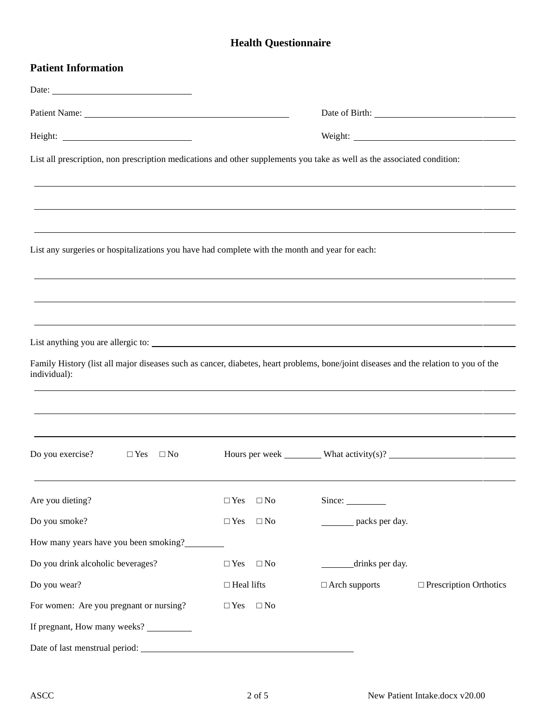## Health Questionnaire

| <b>Patient Information</b>                                                                                                                                                                                                     |                               |                      |                                                                                                                                                                                                                                      |
|--------------------------------------------------------------------------------------------------------------------------------------------------------------------------------------------------------------------------------|-------------------------------|----------------------|--------------------------------------------------------------------------------------------------------------------------------------------------------------------------------------------------------------------------------------|
|                                                                                                                                                                                                                                |                               |                      |                                                                                                                                                                                                                                      |
| Patient Name: Name and Second Second Second Second Second Second Second Second Second Second Second Second Second Second Second Second Second Second Second Second Second Second Second Second Second Second Second Second Sec |                               |                      | Date of Birth: <u>New York: New York: New York: New York: New York: New York: New York: New York: New York: New York: New York: New York: New York: New York: New York: New York: New York: New York: New York: New York: New Yo</u> |
|                                                                                                                                                                                                                                |                               |                      |                                                                                                                                                                                                                                      |
| List all prescription, non prescription medications and other supplements you take as well as the associated condition:                                                                                                        |                               |                      |                                                                                                                                                                                                                                      |
|                                                                                                                                                                                                                                |                               |                      |                                                                                                                                                                                                                                      |
| List any surgeries or hospitalizations you have had complete with the month and year for each:                                                                                                                                 |                               |                      |                                                                                                                                                                                                                                      |
|                                                                                                                                                                                                                                |                               |                      |                                                                                                                                                                                                                                      |
|                                                                                                                                                                                                                                |                               |                      |                                                                                                                                                                                                                                      |
|                                                                                                                                                                                                                                |                               |                      |                                                                                                                                                                                                                                      |
| Family History (list all major diseases such as cancer, diabetes, heart problems, bone/joint diseases and the relation to you of the<br>individual):                                                                           |                               |                      |                                                                                                                                                                                                                                      |
|                                                                                                                                                                                                                                |                               |                      |                                                                                                                                                                                                                                      |
|                                                                                                                                                                                                                                |                               |                      |                                                                                                                                                                                                                                      |
| Do you exercise?<br>$\Box$ Yes $\Box$ No                                                                                                                                                                                       |                               |                      |                                                                                                                                                                                                                                      |
| Are you dieting?                                                                                                                                                                                                               | $\square$ Yes<br>$\square$ No | Since:               |                                                                                                                                                                                                                                      |
| Do you smoke?                                                                                                                                                                                                                  | $\square$ No<br>$\Box$ Yes    | packs per day.       |                                                                                                                                                                                                                                      |
| How many years have you been smoking?                                                                                                                                                                                          |                               |                      |                                                                                                                                                                                                                                      |
| Do you drink alcoholic beverages?                                                                                                                                                                                              | $\Box$ Yes<br>$\square$ No    | drinks per day.      |                                                                                                                                                                                                                                      |
| Do you wear?                                                                                                                                                                                                                   | $\Box$ Heal lifts             | $\Box$ Arch supports | $\Box$ Prescription Orthotics                                                                                                                                                                                                        |
| For women: Are you pregnant or nursing?                                                                                                                                                                                        | $\square$ No<br>$\Box$ Yes    |                      |                                                                                                                                                                                                                                      |
| If pregnant, How many weeks? __________                                                                                                                                                                                        |                               |                      |                                                                                                                                                                                                                                      |
|                                                                                                                                                                                                                                |                               |                      |                                                                                                                                                                                                                                      |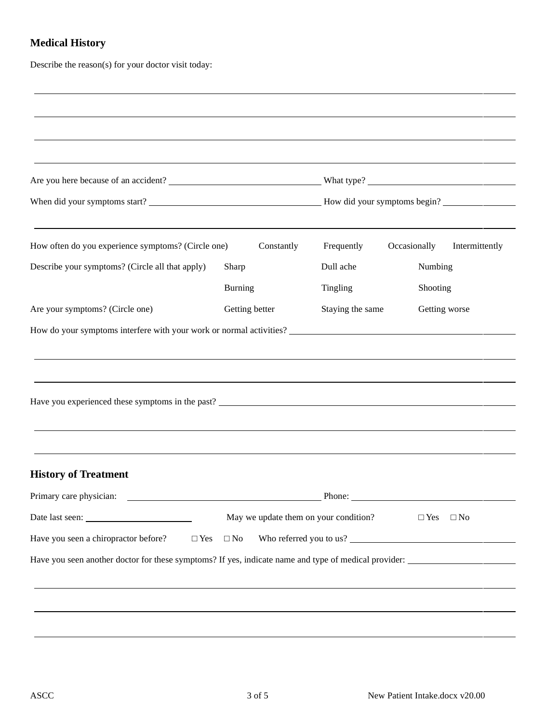## Medical History

Describe the reason(s) for your doctor visit today:

| How often do you experience symptoms? (Circle one)     | Constantly     | Frequently                            | Occasionally<br>Intermittently |  |  |  |  |
|--------------------------------------------------------|----------------|---------------------------------------|--------------------------------|--|--|--|--|
| Describe your symptoms? (Circle all that apply)        | Sharp          | Dull ache                             | Numbing                        |  |  |  |  |
|                                                        | <b>Burning</b> | Tingling                              | Shooting                       |  |  |  |  |
| Are your symptoms? (Circle one)                        | Getting better | Staying the same                      | Getting worse                  |  |  |  |  |
|                                                        |                |                                       |                                |  |  |  |  |
|                                                        |                |                                       |                                |  |  |  |  |
| <b>History of Treatment</b><br>Primary care physician: |                |                                       | $P$ hone: $\blacksquare$       |  |  |  |  |
|                                                        |                | May we update them on your condition? | $\Box$ Yes $\Box$ No           |  |  |  |  |
|                                                        |                |                                       |                                |  |  |  |  |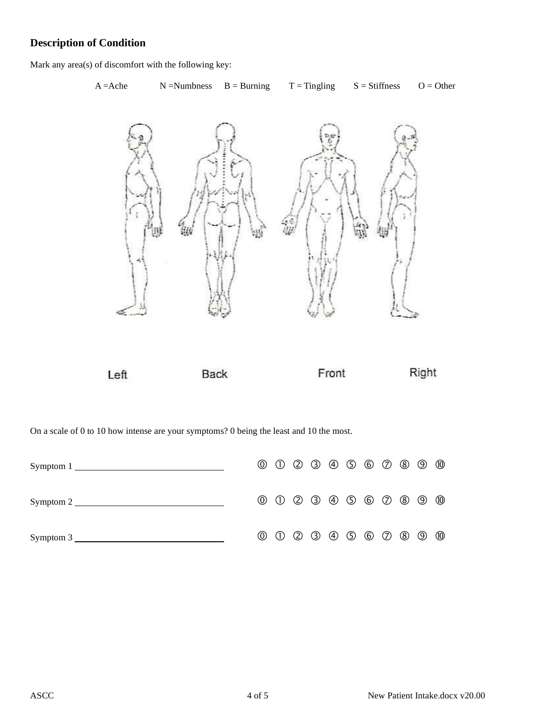### Description of Condition

Mark any area(s) of discomfort with the following key:

# A = Ache  $N$  = Numbness  $B$  = Burning  $T$  = Tingling  $S$  = Stiffness  $O$  = Other



On a scale of 0 to 10 how intense are your symptoms? 0 being the least and 10 the most.

|  |  |  |  |  | $0\ 0\ 0\ 0\ 0\ 0\ 0\ 0\ 0\ 0\ 0\ 0$ |                |
|--|--|--|--|--|--------------------------------------|----------------|
|  |  |  |  |  | $0\ 0\ 0\ 0\ 0\ 0\ 0\ 0\ 0\ 0\ 0$    | $^{\circledR}$ |
|  |  |  |  |  |                                      | $^{\circledR}$ |